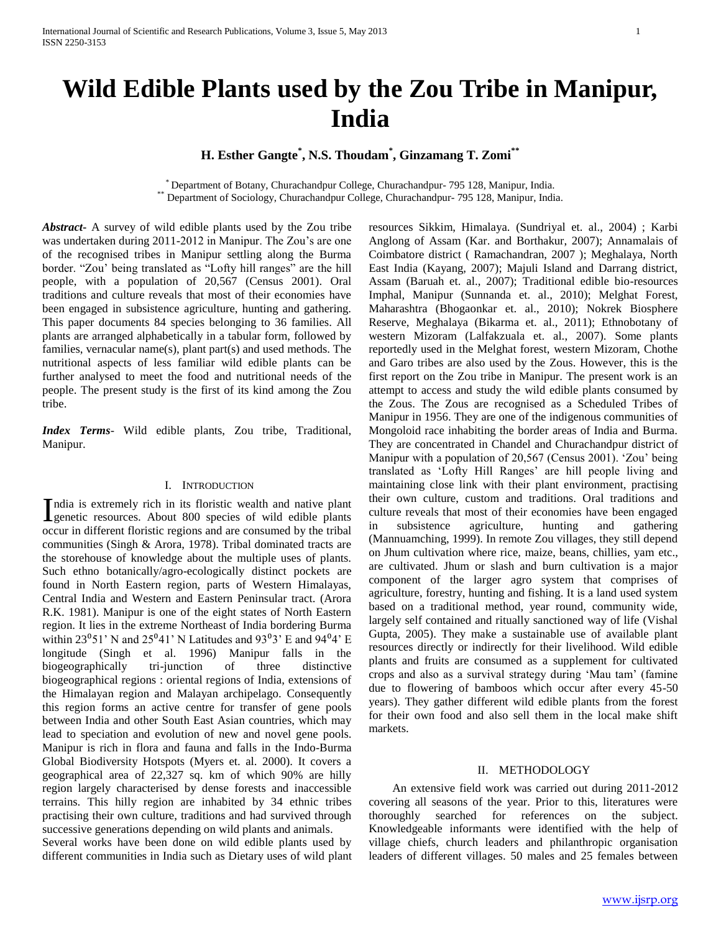# **H. Esther Gangte\* , N.S. Thoudam\* , Ginzamang T. Zomi\*\***

\* Department of Botany, Churachandpur College, Churachandpur- 795 128, Manipur, India. Department of Sociology, Churachandpur College, Churachandpur- 795 128, Manipur, India.

*Abstract***-** A survey of wild edible plants used by the Zou tribe was undertaken during 2011-2012 in Manipur. The Zou's are one of the recognised tribes in Manipur settling along the Burma border. "Zou' being translated as "Lofty hill ranges" are the hill people, with a population of 20,567 (Census 2001). Oral traditions and culture reveals that most of their economies have been engaged in subsistence agriculture, hunting and gathering. This paper documents 84 species belonging to 36 families. All plants are arranged alphabetically in a tabular form, followed by families, vernacular name(s), plant part(s) and used methods. The nutritional aspects of less familiar wild edible plants can be further analysed to meet the food and nutritional needs of the people. The present study is the first of its kind among the Zou tribe.

*Index Terms*- Wild edible plants, Zou tribe, Traditional, Manipur.

## I. INTRODUCTION

ndia is extremely rich in its floristic wealth and native plant India is extremely rich in its floristic wealth and native plant<br>Igenetic resources. About 800 species of wild edible plants occur in different floristic regions and are consumed by the tribal communities (Singh & Arora, 1978). Tribal dominated tracts are the storehouse of knowledge about the multiple uses of plants. Such ethno botanically/agro-ecologically distinct pockets are found in North Eastern region, parts of Western Himalayas, Central India and Western and Eastern Peninsular tract. (Arora R.K. 1981). Manipur is one of the eight states of North Eastern region. It lies in the extreme Northeast of India bordering Burma within 23<sup>°</sup>51' N and 25<sup>°</sup>41' N Latitudes and 93<sup>°</sup>3' E and 94<sup>°</sup>4' E longitude (Singh et al. 1996) Manipur falls in the biogeographically tri-junction of three distinctive biogeographical regions : oriental regions of India, extensions of the Himalayan region and Malayan archipelago. Consequently this region forms an active centre for transfer of gene pools between India and other South East Asian countries, which may lead to speciation and evolution of new and novel gene pools. Manipur is rich in flora and fauna and falls in the Indo-Burma Global Biodiversity Hotspots (Myers et. al. 2000). It covers a geographical area of 22,327 sq. km of which 90% are hilly region largely characterised by dense forests and inaccessible terrains. This hilly region are inhabited by 34 ethnic tribes practising their own culture, traditions and had survived through successive generations depending on wild plants and animals.

Several works have been done on wild edible plants used by different communities in India such as Dietary uses of wild plant resources Sikkim, Himalaya. (Sundriyal et. al., 2004) ; Karbi Anglong of Assam (Kar. and Borthakur, 2007); Annamalais of Coimbatore district ( Ramachandran, 2007 ); Meghalaya, North East India (Kayang, 2007); Majuli Island and Darrang district, Assam (Baruah et. al., 2007); Traditional edible bio-resources Imphal, Manipur (Sunnanda et. al., 2010); Melghat Forest, Maharashtra (Bhogaonkar et. al., 2010); Nokrek Biosphere Reserve, Meghalaya (Bikarma et. al., 2011); Ethnobotany of western Mizoram (Lalfakzuala et. al., 2007). Some plants reportedly used in the Melghat forest, western Mizoram, Chothe and Garo tribes are also used by the Zous. However, this is the first report on the Zou tribe in Manipur. The present work is an attempt to access and study the wild edible plants consumed by the Zous. The Zous are recognised as a Scheduled Tribes of Manipur in 1956. They are one of the indigenous communities of Mongoloid race inhabiting the border areas of India and Burma. They are concentrated in Chandel and Churachandpur district of Manipur with a population of 20,567 (Census 2001). 'Zou' being translated as 'Lofty Hill Ranges' are hill people living and maintaining close link with their plant environment, practising their own culture, custom and traditions. Oral traditions and culture reveals that most of their economies have been engaged in subsistence agriculture, hunting and gathering (Mannuamching, 1999). In remote Zou villages, they still depend on Jhum cultivation where rice, maize, beans, chillies, yam etc., are cultivated. Jhum or slash and burn cultivation is a major component of the larger agro system that comprises of agriculture, forestry, hunting and fishing. It is a land used system based on a traditional method, year round, community wide, largely self contained and ritually sanctioned way of life (Vishal Gupta, 2005). They make a sustainable use of available plant resources directly or indirectly for their livelihood. Wild edible plants and fruits are consumed as a supplement for cultivated crops and also as a survival strategy during 'Mau tam' (famine due to flowering of bamboos which occur after every 45-50 years). They gather different wild edible plants from the forest for their own food and also sell them in the local make shift markets.

### II. METHODOLOGY

 An extensive field work was carried out during 2011-2012 covering all seasons of the year. Prior to this, literatures were thoroughly searched for references on the subject. Knowledgeable informants were identified with the help of village chiefs, church leaders and philanthropic organisation leaders of different villages. 50 males and 25 females between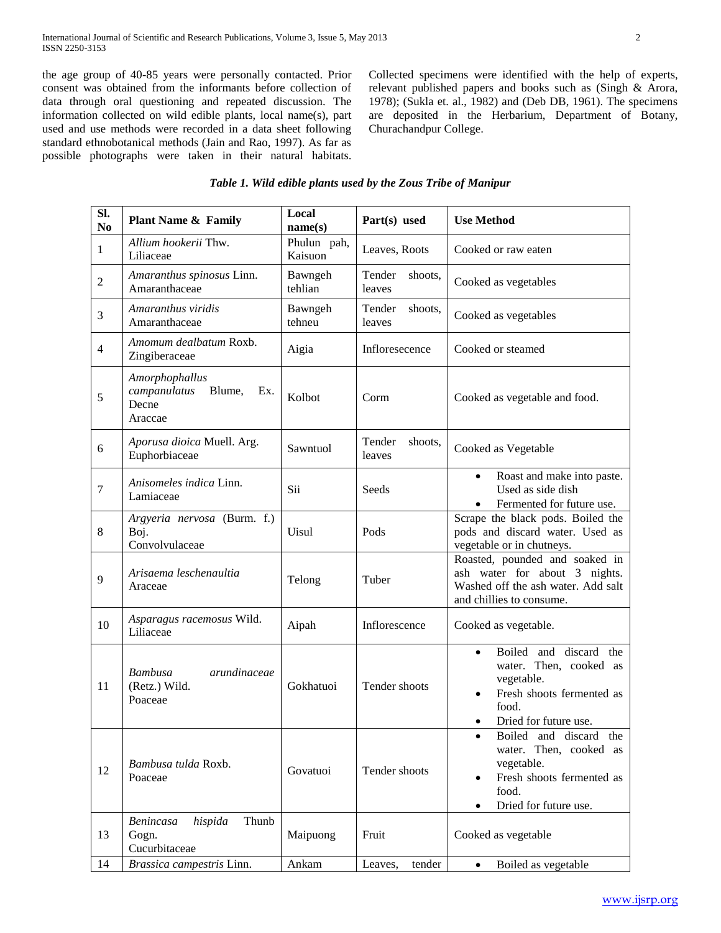the age group of 40-85 years were personally contacted. Prior consent was obtained from the informants before collection of data through oral questioning and repeated discussion. The information collected on wild edible plants, local name(s), part used and use methods were recorded in a data sheet following standard ethnobotanical methods (Jain and Rao, 1997). As far as possible photographs were taken in their natural habitats. Collected specimens were identified with the help of experts, relevant published papers and books such as (Singh & Arora, 1978); (Sukla et. al., 1982) and (Deb DB, 1961). The specimens are deposited in the Herbarium, Department of Botany, Churachandpur College.

| SI.<br>N <sub>0</sub>   | <b>Plant Name &amp; Family</b>                                      | Local<br>name(s)       | Part(s) used                | <b>Use Method</b>                                                                                                                          |
|-------------------------|---------------------------------------------------------------------|------------------------|-----------------------------|--------------------------------------------------------------------------------------------------------------------------------------------|
| $\mathbf{1}$            | Allium hookerii Thw.<br>Liliaceae                                   | Phulun pah,<br>Kaisuon | Leaves, Roots               | Cooked or raw eaten                                                                                                                        |
| $\sqrt{2}$              | Amaranthus spinosus Linn.<br>Amaranthaceae                          | Bawngeh<br>tehlian     | Tender<br>shoots,<br>leaves | Cooked as vegetables                                                                                                                       |
| $\mathfrak{Z}$          | Amaranthus viridis<br>Amaranthaceae                                 | Bawngeh<br>tehneu      | Tender<br>shoots,<br>leaves | Cooked as vegetables                                                                                                                       |
| $\overline{\mathbf{4}}$ | Amomum dealbatum Roxb.<br>Zingiberaceae                             | Aigia                  | Infloresecence              | Cooked or steamed                                                                                                                          |
| $\mathfrak s$           | Amorphophallus<br>campanulatus<br>Blume,<br>Ex.<br>Decne<br>Araccae | Kolbot                 | Corm                        | Cooked as vegetable and food.                                                                                                              |
| 6                       | Aporusa dioica Muell. Arg.<br>Euphorbiaceae                         | Sawntuol               | Tender<br>shoots,<br>leaves | Cooked as Vegetable                                                                                                                        |
| $\boldsymbol{7}$        | Anisomeles indica Linn.<br>Lamiaceae                                | Sii                    | Seeds                       | Roast and make into paste.<br>$\bullet$<br>Used as side dish<br>Fermented for future use.<br>$\bullet$                                     |
| 8                       | Argyeria nervosa (Burm. f.)<br>Boj.<br>Convolvulaceae               | Uisul                  | Pods                        | Scrape the black pods. Boiled the<br>pods and discard water. Used as<br>vegetable or in chutneys.                                          |
| 9                       | Arisaema leschenaultia<br>Araceae                                   | Telong                 | Tuber                       | Roasted, pounded and soaked in<br>ash water for about 3 nights.<br>Washed off the ash water. Add salt<br>and chillies to consume.          |
| 10                      | Asparagus racemosus Wild.<br>Liliaceae                              | Aipah                  | Inflorescence               | Cooked as vegetable.                                                                                                                       |
| 11                      | Bambusa<br>arundinaceae<br>(Retz.) Wild.<br>Poaceae                 | Gokhatuoi              | Tender shoots               | Boiled and discard the<br>$\bullet$<br>water. Then, cooked as<br>vegetable.<br>Fresh shoots fermented as<br>food.<br>Dried for future use. |
| 12                      | Bambusa tulda Roxb.<br>Poaceae                                      | Govatuoi               | Tender shoots               | Boiled and discard the<br>٠<br>Then, cooked as<br>water.<br>vegetable.<br>Fresh shoots fermented as<br>food.<br>Dried for future use.      |
| 13                      | hispida<br>Thunb<br><b>Benincasa</b><br>Gogn.<br>Cucurbitaceae      | Maipuong               | Fruit                       | Cooked as vegetable                                                                                                                        |
| 14                      | Brassica campestris Linn.                                           | Ankam                  | Leaves,<br>tender           | Boiled as vegetable<br>$\bullet$                                                                                                           |

## *Table 1. Wild edible plants used by the Zous Tribe of Manipur*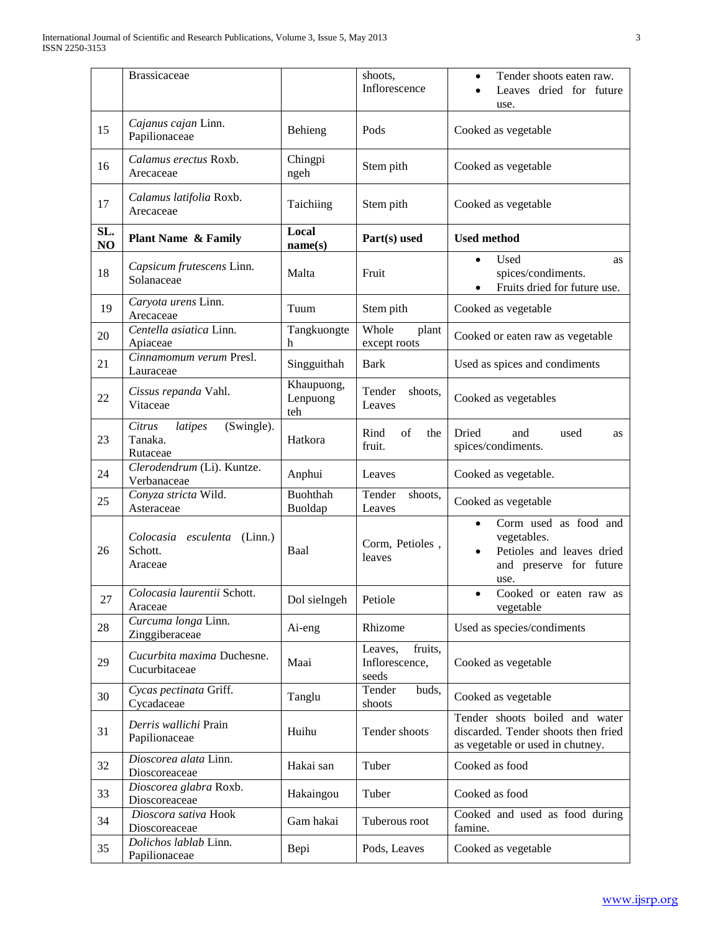|           | <b>Brassicaceae</b>                                    |                               | shoots,<br>Inflorescence                      | Tender shoots eaten raw.<br>$\bullet$<br>Leaves dried for future<br>use.                                          |
|-----------|--------------------------------------------------------|-------------------------------|-----------------------------------------------|-------------------------------------------------------------------------------------------------------------------|
| 15        | Cajanus cajan Linn.<br>Papilionaceae                   | Behieng                       | Pods                                          | Cooked as vegetable                                                                                               |
| 16        | Calamus erectus Roxb.<br>Arecaceae                     | Chingpi<br>ngeh               | Stem pith                                     | Cooked as vegetable                                                                                               |
| 17        | Calamus latifolia Roxb.<br>Arecaceae                   | Taichiing                     | Stem pith                                     | Cooked as vegetable                                                                                               |
| SL.<br>NO | <b>Plant Name &amp; Family</b>                         | Local<br>name(s)              | Part(s) used                                  | <b>Used method</b>                                                                                                |
| 18        | Capsicum frutescens Linn.<br>Solanaceae                | Malta                         | Fruit                                         | Used<br>as<br>$\bullet$<br>spices/condiments.<br>Fruits dried for future use.                                     |
| 19        | Caryota urens Linn.<br>Arecaceae                       | Tuum                          | Stem pith                                     | Cooked as vegetable                                                                                               |
| 20        | Centella asiatica Linn.<br>Apiaceae                    | Tangkuongte<br>h              | Whole<br>plant<br>except roots                | Cooked or eaten raw as vegetable                                                                                  |
| 21        | Cinnamomum verum Presl.<br>Lauraceae                   | Singguithah                   | <b>Bark</b>                                   | Used as spices and condiments                                                                                     |
| 22        | Cissus repanda Vahl.<br>Vitaceae                       | Khaupuong,<br>Lenpuong<br>teh | Tender<br>shoots,<br>Leaves                   | Cooked as vegetables                                                                                              |
| 23        | (Swingle).<br>Citrus<br>latipes<br>Tanaka.<br>Rutaceae | Hatkora                       | Rind<br>of<br>the<br>fruit.                   | Dried<br>and<br>used<br>as<br>spices/condiments.                                                                  |
| 24        | Clerodendrum (Li). Kuntze.<br>Verbanaceae              | Anphui                        | Leaves                                        | Cooked as vegetable.                                                                                              |
| 25        | Conyza stricta Wild.<br>Asteraceae                     | Buohthah<br>Buoldap           | Tender<br>shoots,<br>Leaves                   | Cooked as vegetable                                                                                               |
| 26        | Colocasia esculenta (Linn.)<br>Schott.<br>Araceae      | Baal                          | Corm, Petioles,<br>leaves                     | Corm used as food and<br>$\bullet$<br>vegetables.<br>Petioles and leaves dried<br>and preserve for future<br>use. |
| 27        | Colocasia laurentii Schott.<br>Araceae                 | Dol sielngeh                  | Petiole                                       | Cooked or eaten raw as<br>vegetable                                                                               |
| 28        | Curcuma longa Linn.<br>Zinggiberaceae                  | Ai-eng                        | Rhizome                                       | Used as species/condiments                                                                                        |
| 29        | Cucurbita maxima Duchesne.<br>Cucurbitaceae            | Maai                          | fruits,<br>Leaves,<br>Inflorescence,<br>seeds | Cooked as vegetable                                                                                               |
| 30        | Cycas pectinata Griff.<br>Cycadaceae                   | Tanglu                        | Tender<br>buds,<br>shoots                     | Cooked as vegetable                                                                                               |
| 31        | Derris wallichi Prain<br>Papilionaceae                 | Huihu                         | Tender shoots                                 | Tender shoots boiled and water<br>discarded. Tender shoots then fried<br>as vegetable or used in chutney.         |
| 32        | Dioscorea alata Linn.<br>Dioscoreaceae                 | Hakai san                     | Tuber                                         | Cooked as food                                                                                                    |
| 33        | Dioscorea glabra Roxb.<br>Dioscoreaceae                | Hakaingou                     | Tuber                                         | Cooked as food                                                                                                    |
| 34        | Dioscora sativa Hook<br>Dioscoreaceae                  | Gam hakai                     | Tuberous root                                 | Cooked and used as food during<br>famine.                                                                         |
| 35        | Dolichos lablab Linn.<br>Papilionaceae                 | Bepi                          | Pods, Leaves                                  | Cooked as vegetable                                                                                               |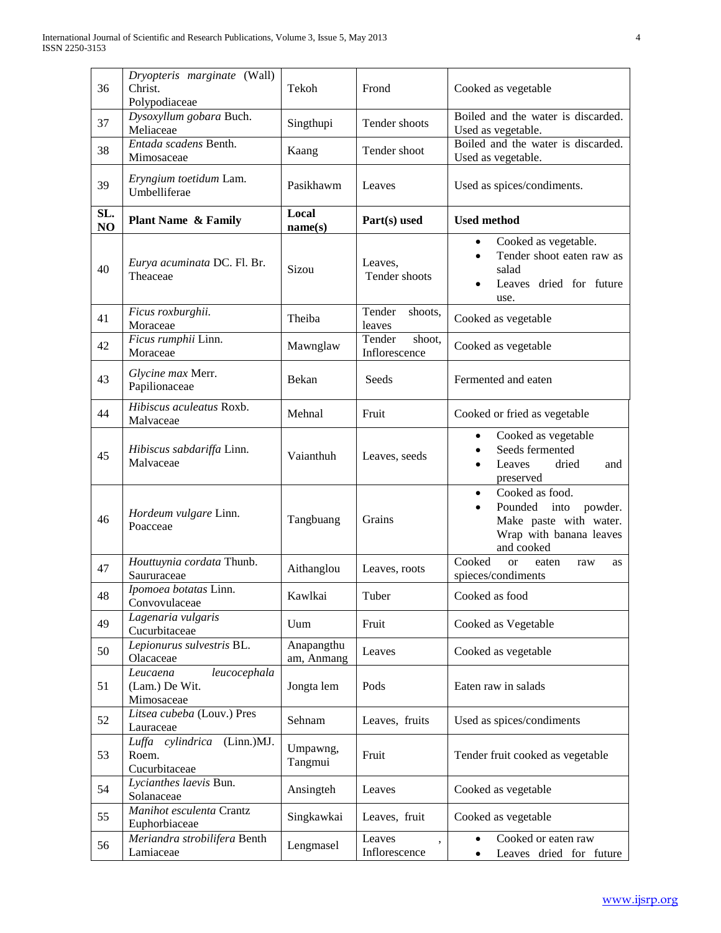| 36        | Dryopteris marginate (Wall)<br>Christ.<br>Polypodiaceae  | Tekoh                    | Frond                                               | Cooked as vegetable                                                                                                           |
|-----------|----------------------------------------------------------|--------------------------|-----------------------------------------------------|-------------------------------------------------------------------------------------------------------------------------------|
| 37        | Dysoxyllum gobara Buch.<br>Meliaceae                     | Singthupi                | Tender shoots                                       | Boiled and the water is discarded.<br>Used as vegetable.                                                                      |
| 38        | Entada scadens Benth.<br>Mimosaceae                      | Kaang                    | Tender shoot                                        | Boiled and the water is discarded.<br>Used as vegetable.                                                                      |
| 39        | Eryngium toetidum Lam.<br>Umbelliferae                   | Pasikhawm                | Leaves                                              | Used as spices/condiments.                                                                                                    |
| SL.<br>NO | <b>Plant Name &amp; Family</b>                           | Local<br>name(s)         | Part(s) used                                        | <b>Used method</b>                                                                                                            |
| 40        | Eurya acuminata DC. Fl. Br.<br>Theaceae                  | Sizou                    | Leaves,<br>Tender shoots                            | Cooked as vegetable.<br>٠<br>Tender shoot eaten raw as<br>salad<br>Leaves dried for future<br>use.                            |
| 41        | Ficus roxburghii.<br>Moraceae                            | Theiba                   | Tender<br>shoots,<br>leaves                         | Cooked as vegetable                                                                                                           |
| 42        | Ficus rumphii Linn.<br>Moraceae                          | Mawnglaw                 | Tender<br>shoot,<br>Inflorescence                   | Cooked as vegetable                                                                                                           |
| 43        | Glycine max Merr.<br>Papilionaceae                       | Bekan                    | Seeds                                               | Fermented and eaten                                                                                                           |
| 44        | Hibiscus aculeatus Roxb.<br>Malvaceae                    | Mehnal                   | Fruit                                               | Cooked or fried as vegetable                                                                                                  |
| 45        | Hibiscus sabdariffa Linn.<br>Malvaceae                   | Vaianthuh                | Leaves, seeds                                       | Cooked as vegetable<br>$\bullet$<br>Seeds fermented<br>Leaves<br>dried<br>and<br>preserved                                    |
| 46        | Hordeum vulgare Linn.<br>Poacceae                        | Tangbuang                | Grains                                              | Cooked as food.<br>$\bullet$<br>Pounded<br>into<br>powder.<br>Make paste with water.<br>Wrap with banana leaves<br>and cooked |
| 47        | Houttuynia cordata Thunb.<br>Saururaceae                 | Aithanglou               | Leaves, roots                                       | Cooked<br><sub>or</sub><br>eaten<br>raw<br><b>as</b><br>spieces/condiments                                                    |
| 48        | Ipomoea botatas Linn.<br>Convovulaceae                   | Kawlkai                  | Tuber                                               | Cooked as food                                                                                                                |
| 49        | Lagenaria vulgaris<br>Cucurbitaceae                      | Uum                      | Fruit                                               | Cooked as Vegetable                                                                                                           |
| 50        | Lepionurus sulvestris BL.<br>Olacaceae                   | Anapangthu<br>am, Anmang | Leaves                                              | Cooked as vegetable                                                                                                           |
| 51        | Leucaena<br>leucocephala<br>(Lam.) De Wit.<br>Mimosaceae | Jongta lem               | Pods                                                | Eaten raw in salads                                                                                                           |
| 52        | Litsea cubeba (Louv.) Pres<br>Lauraceae                  | Sehnam                   | Leaves, fruits                                      | Used as spices/condiments                                                                                                     |
| 53        | Luffa cylindrica (Linn.)MJ.<br>Roem.<br>Cucurbitaceae    | Umpawng,<br>Tangmui      | Fruit                                               | Tender fruit cooked as vegetable                                                                                              |
| 54        | Lycianthes laevis Bun.<br>Solanaceae                     | Ansingteh                | Leaves                                              | Cooked as vegetable                                                                                                           |
| 55        | Manihot esculenta Crantz<br>Euphorbiaceae                | Singkawkai               | Leaves, fruit                                       | Cooked as vegetable                                                                                                           |
| 56        | Meriandra strobilifera Benth<br>Lamiaceae                | Lengmasel                | Leaves<br>$\overline{\phantom{a}}$<br>Inflorescence | Cooked or eaten raw<br>Leaves dried for future                                                                                |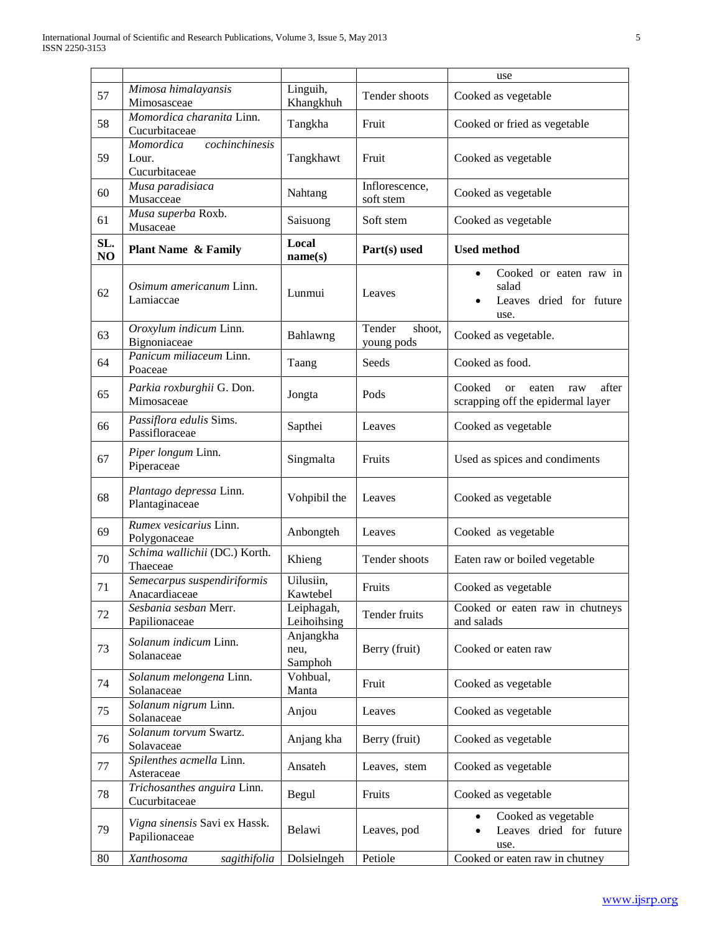|           |                                                       |                              |                                | use                                                                                   |
|-----------|-------------------------------------------------------|------------------------------|--------------------------------|---------------------------------------------------------------------------------------|
| 57        | Mimosa himalayansis<br>Mimosasceae                    | Linguih,<br>Khangkhuh        | Tender shoots                  | Cooked as vegetable                                                                   |
| 58        | Momordica charanita Linn.<br>Cucurbitaceae            | Tangkha                      | Fruit                          | Cooked or fried as vegetable                                                          |
| 59        | cochinchinesis<br>Momordica<br>Lour.<br>Cucurbitaceae | Tangkhawt                    | Fruit                          | Cooked as vegetable                                                                   |
| 60        | Musa paradisiaca<br>Musacceae                         | Nahtang                      | Inflorescence,<br>soft stem    | Cooked as vegetable                                                                   |
| 61        | Musa superba Roxb.<br>Musaceae                        | Saisuong                     | Soft stem                      | Cooked as vegetable                                                                   |
| SL.<br>NO | <b>Plant Name &amp; Family</b>                        | Local<br>name(s)             | Part(s) used                   | <b>Used method</b>                                                                    |
| 62        | Osimum americanum Linn.<br>Lamiaccae                  | Lunmui                       | Leaves                         | Cooked or eaten raw in<br>$\bullet$<br>salad<br>Leaves dried for future<br>use.       |
| 63        | Oroxylum indicum Linn.<br>Bignoniaceae                | Bahlawng                     | Tender<br>shoot,<br>young pods | Cooked as vegetable.                                                                  |
| 64        | Panicum miliaceum Linn.<br>Poaceae                    | Taang                        | Seeds                          | Cooked as food.                                                                       |
| 65        | Parkia roxburghii G. Don.<br>Mimosaceae               | Jongta                       | Pods                           | Cooked<br>after<br><sub>or</sub><br>eaten<br>raw<br>scrapping off the epidermal layer |
| 66        | Passiflora edulis Sims.<br>Passifloraceae             | Sapthei                      | Leaves                         | Cooked as vegetable                                                                   |
| 67        | Piper longum Linn.<br>Piperaceae                      | Singmalta                    | Fruits                         | Used as spices and condiments                                                         |
| 68        | Plantago depressa Linn.<br>Plantaginaceae             | Vohpibil the                 | Leaves                         | Cooked as vegetable                                                                   |
| 69        | Rumex vesicarius Linn.<br>Polygonaceae                | Anbongteh                    | Leaves                         | Cooked as vegetable                                                                   |
| 70        | Schima wallichii (DC.) Korth.<br>Thaeceae             | Khieng                       | Tender shoots                  | Eaten raw or boiled vegetable                                                         |
| 71        | Semecarpus suspendiriformis<br>Anacardiaceae          | Uilusiin,<br>Kawtebel        | Fruits                         | Cooked as vegetable                                                                   |
| 72        | Sesbania sesban Merr.<br>Papilionaceae                | Leiphagah,<br>Leihoihsing    | Tender fruits                  | Cooked or eaten raw in chutneys<br>and salads                                         |
| 73        | Solanum indicum Linn.<br>Solanaceae                   | Anjangkha<br>neu,<br>Samphoh | Berry (fruit)                  | Cooked or eaten raw                                                                   |
| 74        | Solanum melongena Linn.<br>Solanaceae                 | Vohbual,<br>Manta            | Fruit                          | Cooked as vegetable                                                                   |
| 75        | Solanum nigrum Linn.<br>Solanaceae                    | Anjou                        | Leaves                         | Cooked as vegetable                                                                   |
| 76        | Solanum torvum Swartz.<br>Solavaceae                  | Anjang kha                   | Berry (fruit)                  | Cooked as vegetable                                                                   |
| 77        | Spilenthes acmella Linn.<br>Asteraceae                | Ansateh                      | Leaves, stem                   | Cooked as vegetable                                                                   |
| 78        | Trichosanthes anguira Linn.<br>Cucurbitaceae          | Begul                        | Fruits                         | Cooked as vegetable                                                                   |
| 79        | Vigna sinensis Savi ex Hassk.<br>Papilionaceae        | Belawi                       | Leaves, pod                    | Cooked as vegetable<br>Leaves dried for future<br>use.                                |
| 80        | Xanthosoma<br>sagithifolia                            | Dolsielngeh                  | Petiole                        | Cooked or eaten raw in chutney                                                        |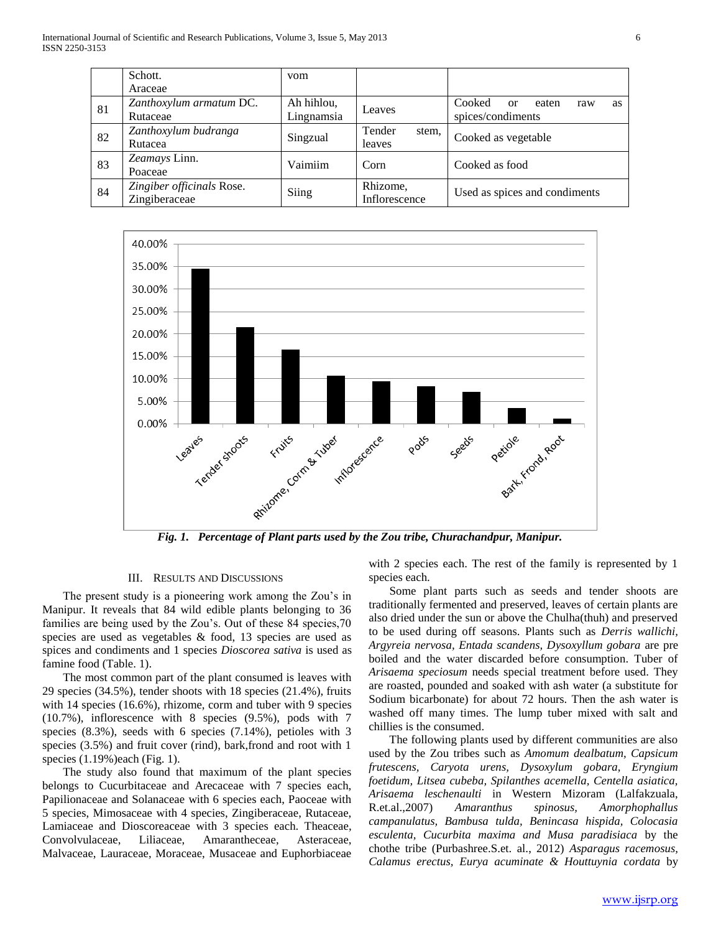|    | Schott.                                    | vom                      |                           |                                                         |
|----|--------------------------------------------|--------------------------|---------------------------|---------------------------------------------------------|
|    | Araceae                                    |                          |                           |                                                         |
| 81 | Zanthoxylum armatum DC.<br>Rutaceae        | Ah hihlou,<br>Lingnamsia | Leaves                    | Cooked<br>eaten<br>or<br>raw<br>as<br>spices/condiments |
| 82 | Zanthoxylum budranga<br>Rutacea            | Singzual                 | Tender<br>stem,<br>leaves | Cooked as vegetable                                     |
| 83 | Zeamays Linn.<br>Poaceae                   | Vaimiim                  | Corn                      | Cooked as food                                          |
| 84 | Zingiber officinals Rose.<br>Zingiberaceae | Siing                    | Rhizome,<br>Inflorescence | Used as spices and condiments                           |



*Fig. 1. Percentage of Plant parts used by the Zou tribe, Churachandpur, Manipur.*

## III. RESULTS AND DISCUSSIONS

 The present study is a pioneering work among the Zou's in Manipur. It reveals that 84 wild edible plants belonging to 36 families are being used by the Zou's. Out of these 84 species,70 species are used as vegetables & food, 13 species are used as spices and condiments and 1 species *Dioscorea sativa* is used as famine food (Table. 1).

 The most common part of the plant consumed is leaves with 29 species (34.5%), tender shoots with 18 species (21.4%), fruits with 14 species (16.6%), rhizome, corm and tuber with 9 species (10.7%), inflorescence with 8 species (9.5%), pods with 7 species (8.3%), seeds with 6 species (7.14%), petioles with 3 species (3.5%) and fruit cover (rind), bark,frond and root with 1 species (1.19%)each (Fig. 1).

 The study also found that maximum of the plant species belongs to Cucurbitaceae and Arecaceae with 7 species each, Papilionaceae and Solanaceae with 6 species each, Paoceae with 5 species, Mimosaceae with 4 species, Zingiberaceae, Rutaceae, Lamiaceae and Dioscoreaceae with 3 species each. Theaceae, Convolvulaceae, Liliaceae, Amarantheceae, Asteraceae, Malvaceae, Lauraceae, Moraceae, Musaceae and Euphorbiaceae with 2 species each. The rest of the family is represented by 1 species each.

 Some plant parts such as seeds and tender shoots are traditionally fermented and preserved, leaves of certain plants are also dried under the sun or above the Chulha(thuh) and preserved to be used during off seasons. Plants such as *Derris wallichi, Argyreia nervosa, Entada scandens, Dysoxyllum gobara* are pre boiled and the water discarded before consumption. Tuber of *Arisaema speciosum* needs special treatment before used. They are roasted, pounded and soaked with ash water (a substitute for Sodium bicarbonate) for about 72 hours. Then the ash water is washed off many times. The lump tuber mixed with salt and chillies is the consumed.

 The following plants used by different communities are also used by the Zou tribes such as *Amomum dealbatum, Capsicum frutescens, Caryota urens, Dysoxylum gobara, Eryngium foetidum, Litsea cubeba, Spilanthes acemella, Centella asiatica, Arisaema leschenaulti* in Western Mizoram (Lalfakzuala, R.et.al.,2007) *Amaranthus spinosus, Amorphophallus campanulatus, Bambusa tulda, Benincasa hispida, Colocasia esculenta, Cucurbita maxima and Musa paradisiaca* by the chothe tribe (Purbashree.S.et. al., 2012) *Asparagus racemosus, Calamus erectus, Eurya acuminate & Houttuynia cordata* by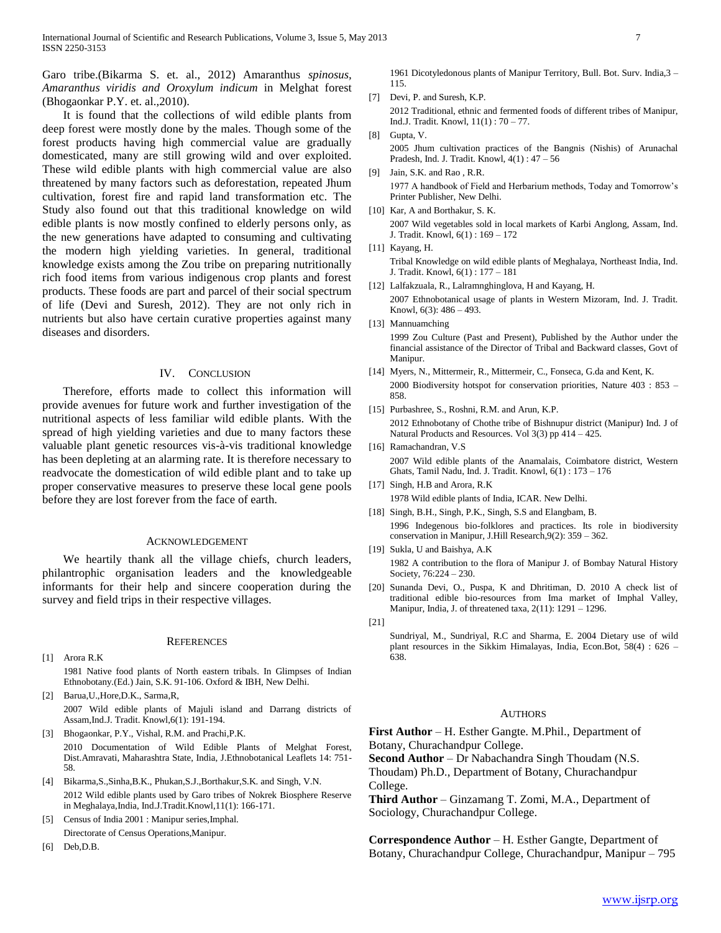Garo tribe.(Bikarma S. et. al., 2012) Amaranthus *spinosus, Amaranthus viridis and Oroxylum indicum* in Melghat forest (Bhogaonkar P.Y. et. al.,2010).

 It is found that the collections of wild edible plants from deep forest were mostly done by the males. Though some of the forest products having high commercial value are gradually domesticated, many are still growing wild and over exploited. These wild edible plants with high commercial value are also threatened by many factors such as deforestation, repeated Jhum cultivation, forest fire and rapid land transformation etc. The Study also found out that this traditional knowledge on wild edible plants is now mostly confined to elderly persons only, as the new generations have adapted to consuming and cultivating the modern high yielding varieties. In general, traditional knowledge exists among the Zou tribe on preparing nutritionally rich food items from various indigenous crop plants and forest products. These foods are part and parcel of their social spectrum of life (Devi and Suresh, 2012). They are not only rich in nutrients but also have certain curative properties against many diseases and disorders.

#### IV. CONCLUSION

 Therefore, efforts made to collect this information will provide avenues for future work and further investigation of the nutritional aspects of less familiar wild edible plants. With the spread of high yielding varieties and due to many factors these valuable plant genetic resources vis-à-vis traditional knowledge has been depleting at an alarming rate. It is therefore necessary to readvocate the domestication of wild edible plant and to take up proper conservative measures to preserve these local gene pools before they are lost forever from the face of earth.

#### ACKNOWLEDGEMENT

 We heartily thank all the village chiefs, church leaders, philantrophic organisation leaders and the knowledgeable informants for their help and sincere cooperation during the survey and field trips in their respective villages.

#### **REFERENCES**

- [1] Arora R.K 1981 Native food plants of North eastern tribals. In Glimpses of Indian Ethnobotany.(Ed.) Jain, S.K. 91-106. Oxford & IBH, New Delhi.
- [2] Barua,U.,Hore,D.K., Sarma,R, 2007 Wild edible plants of Majuli island and Darrang districts of Assam,Ind.J. Tradit. Knowl,6(1): 191-194.
- [3] Bhogaonkar, P.Y., Vishal, R.M. and Prachi,P.K. 2010 Documentation of Wild Edible Plants of Melghat Forest, Dist.Amravati, Maharashtra State, India, J.Ethnobotanical Leaflets 14: 751- 58.
- [4] Bikarma,S.,Sinha,B.K., Phukan,S.J.,Borthakur,S.K. and Singh, V.N. 2012 Wild edible plants used by Garo tribes of Nokrek Biosphere Reserve in Meghalaya,India, Ind.J.Tradit.Knowl,11(1): 166-171.
- Census of India 2001 : Manipur series, Imphal. Directorate of Census Operations,Manipur.
- [6] Deb,D.B.

1961 Dicotyledonous plants of Manipur Territory, Bull. Bot. Surv. India,3 – 115.

- [7] Devi, P. and Suresh, K.P. 2012 Traditional, ethnic and fermented foods of different tribes of Manipur, Ind.J. Tradit. Knowl, 11(1) : 70 – 77.
- [8] Gupta, V. 2005 Jhum cultivation practices of the Bangnis (Nishis) of Arunachal Pradesh, Ind. J. Tradit. Knowl, 4(1) : 47 – 56
- [9] Jain, S.K. and Rao , R.R. 1977 A handbook of Field and Herbarium methods, Today and Tomorrow's Printer Publisher, New Delhi.
- [10] Kar, A and Borthakur, S. K. 2007 Wild vegetables sold in local markets of Karbi Anglong, Assam, Ind. J. Tradit. Knowl, 6(1) : 169 – 172
- [11] Kayang, H.

- [12] Lalfakzuala, R., Lalramnghinglova, H and Kayang, H. 2007 Ethnobotanical usage of plants in Western Mizoram, Ind. J. Tradit. Knowl, 6(3): 486 – 493.
- [13] Mannuamching 1999 Zou Culture (Past and Present), Published by the Author under the financial assistance of the Director of Tribal and Backward classes, Govt of Manipur.
- [14] Myers, N., Mittermeir, R., Mittermeir, C., Fonseca, G.da and Kent, K. 2000 Biodiversity hotspot for conservation priorities, Nature 403 : 853 – 858.
- [15] Purbashree, S., Roshni, R.M. and Arun, K.P. 2012 Ethnobotany of Chothe tribe of Bishnupur district (Manipur) Ind. J of Natural Products and Resources. Vol 3(3) pp 414 – 425.
- [16] Ramachandran, V.S. 2007 Wild edible plants of the Anamalais, Coimbatore district, Western Ghats, Tamil Nadu, Ind. J. Tradit. Knowl, 6(1) : 173 – 176
- [17] Singh, H.B and Arora, R.K 1978 Wild edible plants of India, ICAR. New Delhi.
- [18] Singh, B.H., Singh, P.K., Singh, S.S and Elangbam, B. 1996 Indegenous bio-folklores and practices. Its role in biodiversity conservation in Manipur, J.Hill Research,9(2): 359 – 362.
- [19] Sukla, U and Baishya, A.K 1982 A contribution to the flora of Manipur J. of Bombay Natural History Society, 76:224 – 230.
- [20] Sunanda Devi, O., Puspa, K and Dhritiman, D. 2010 A check list of traditional edible bio-resources from Ima market of Imphal Valley, Manipur, India, J. of threatened taxa, 2(11): 1291 – 1296.
- [21]

Sundriyal, M., Sundriyal, R.C and Sharma, E. 2004 Dietary use of wild plant resources in the Sikkim Himalayas, India, Econ.Bot, 58(4) : 626 – 638.

#### AUTHORS

**First Author** – H. Esther Gangte. M.Phil., Department of Botany, Churachandpur College.

**Second Author** – Dr Nabachandra Singh Thoudam (N.S. Thoudam) Ph.D., Department of Botany, Churachandpur

College.

**Third Author** – Ginzamang T. Zomi, M.A., Department of Sociology, Churachandpur College.

**Correspondence Author** – H. Esther Gangte, Department of Botany, Churachandpur College, Churachandpur, Manipur – 795

Tribal Knowledge on wild edible plants of Meghalaya, Northeast India, Ind. J. Tradit. Knowl, 6(1) : 177 – 181